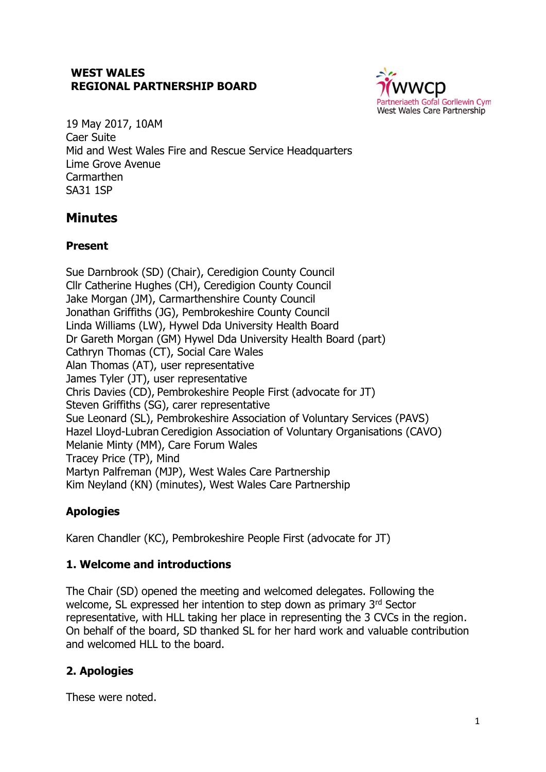### **WEST WALES REGIONAL PARTNERSHIP BOARD**



19 May 2017, 10AM Caer Suite Mid and West Wales Fire and Rescue Service Headquarters Lime Grove Avenue Carmarthen SA31 1SP

# **Minutes**

# **Present**

Sue Darnbrook (SD) (Chair), Ceredigion County Council Cllr Catherine Hughes (CH), Ceredigion County Council Jake Morgan (JM), Carmarthenshire County Council Jonathan Griffiths (JG), Pembrokeshire County Council Linda Williams (LW), Hywel Dda University Health Board Dr Gareth Morgan (GM) Hywel Dda University Health Board (part) Cathryn Thomas (CT), Social Care Wales Alan Thomas (AT), user representative James Tyler (JT), user representative Chris Davies (CD), Pembrokeshire People First (advocate for JT) Steven Griffiths (SG), carer representative Sue Leonard (SL), Pembrokeshire Association of Voluntary Services (PAVS) Hazel Lloyd-Lubran Ceredigion Association of Voluntary Organisations (CAVO) Melanie Minty (MM), Care Forum Wales Tracey Price (TP), Mind Martyn Palfreman (MJP), West Wales Care Partnership Kim Neyland (KN) (minutes), West Wales Care Partnership

# **Apologies**

Karen Chandler (KC), Pembrokeshire People First (advocate for JT)

# **1. Welcome and introductions**

The Chair (SD) opened the meeting and welcomed delegates. Following the welcome, SL expressed her intention to step down as primary 3rd Sector representative, with HLL taking her place in representing the 3 CVCs in the region. On behalf of the board, SD thanked SL for her hard work and valuable contribution and welcomed HLL to the board.

# **2. Apologies**

These were noted.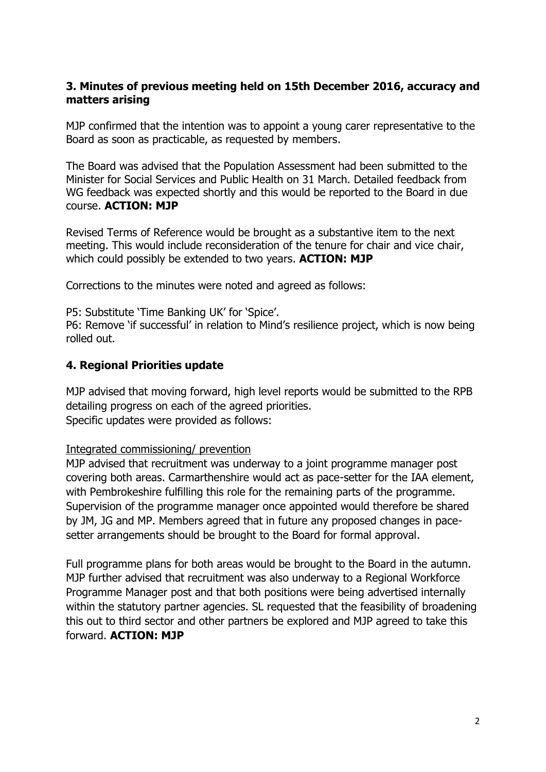### **3. Minutes of previous meeting held on 15th December 2016, accuracy and matters arising**

MJP confirmed that the intention was to appoint a young carer representative to the Board as soon as practicable, as requested by members.

The Board was advised that the Population Assessment had been submitted to the Minister for Social Services and Public Health on 31 March. Detailed feedback from WG feedback was expected shortly and this would be reported to the Board in due course. **ACTION: MJP**

Revised Terms of Reference would be brought as a substantive item to the next meeting. This would include reconsideration of the tenure for chair and vice chair, which could possibly be extended to two years. **ACTION: MJP**

Corrections to the minutes were noted and agreed as follows:

P5: Substitute 'Time Banking UK' for 'Spice'.

P6: Remove 'if successful' in relation to Mind's resilience project, which is now being rolled out.

#### **4. Regional Priorities update**

MJP advised that moving forward, high level reports would be submitted to the RPB detailing progress on each of the agreed priorities. Specific updates were provided as follows:

#### Integrated commissioning/ prevention

MJP advised that recruitment was underway to a joint programme manager post covering both areas. Carmarthenshire would act as pace-setter for the IAA element, with Pembrokeshire fulfilling this role for the remaining parts of the programme. Supervision of the programme manager once appointed would therefore be shared by JM, JG and MP. Members agreed that in future any proposed changes in pacesetter arrangements should be brought to the Board for formal approval.

Full programme plans for both areas would be brought to the Board in the autumn. MJP further advised that recruitment was also underway to a Regional Workforce Programme Manager post and that both positions were being advertised internally within the statutory partner agencies. SL requested that the feasibility of broadening this out to third sector and other partners be explored and MJP agreed to take this forward. **ACTION: MJP**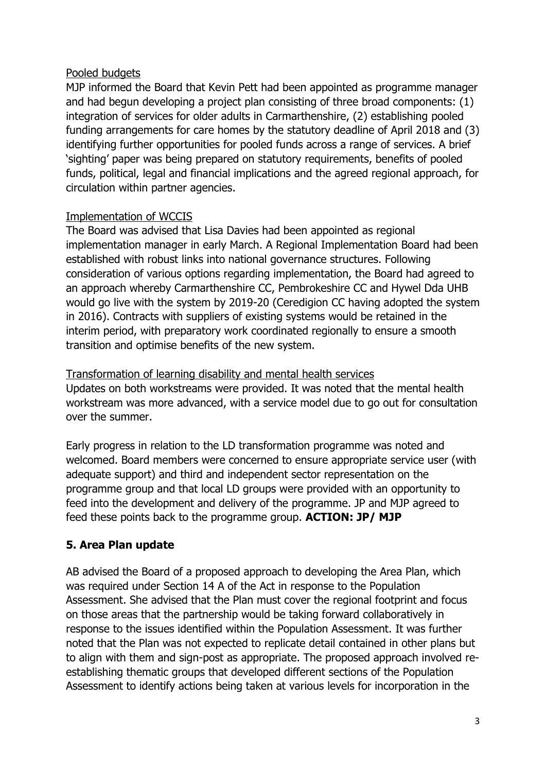### Pooled budgets

MJP informed the Board that Kevin Pett had been appointed as programme manager and had begun developing a project plan consisting of three broad components: (1) integration of services for older adults in Carmarthenshire, (2) establishing pooled funding arrangements for care homes by the statutory deadline of April 2018 and (3) identifying further opportunities for pooled funds across a range of services. A brief 'sighting' paper was being prepared on statutory requirements, benefits of pooled funds, political, legal and financial implications and the agreed regional approach, for circulation within partner agencies.

### Implementation of WCCIS

The Board was advised that Lisa Davies had been appointed as regional implementation manager in early March. A Regional Implementation Board had been established with robust links into national governance structures. Following consideration of various options regarding implementation, the Board had agreed to an approach whereby Carmarthenshire CC, Pembrokeshire CC and Hywel Dda UHB would go live with the system by 2019-20 (Ceredigion CC having adopted the system in 2016). Contracts with suppliers of existing systems would be retained in the interim period, with preparatory work coordinated regionally to ensure a smooth transition and optimise benefits of the new system.

#### Transformation of learning disability and mental health services

Updates on both workstreams were provided. It was noted that the mental health workstream was more advanced, with a service model due to go out for consultation over the summer.

Early progress in relation to the LD transformation programme was noted and welcomed. Board members were concerned to ensure appropriate service user (with adequate support) and third and independent sector representation on the programme group and that local LD groups were provided with an opportunity to feed into the development and delivery of the programme. JP and MJP agreed to feed these points back to the programme group. **ACTION: JP/ MJP**

# **5. Area Plan update**

AB advised the Board of a proposed approach to developing the Area Plan, which was required under Section 14 A of the Act in response to the Population Assessment. She advised that the Plan must cover the regional footprint and focus on those areas that the partnership would be taking forward collaboratively in response to the issues identified within the Population Assessment. It was further noted that the Plan was not expected to replicate detail contained in other plans but to align with them and sign-post as appropriate. The proposed approach involved reestablishing thematic groups that developed different sections of the Population Assessment to identify actions being taken at various levels for incorporation in the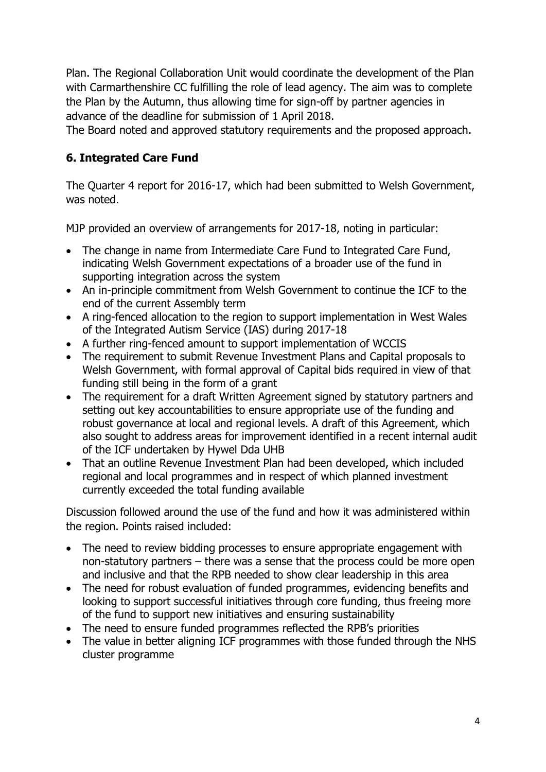Plan. The Regional Collaboration Unit would coordinate the development of the Plan with Carmarthenshire CC fulfilling the role of lead agency. The aim was to complete the Plan by the Autumn, thus allowing time for sign-off by partner agencies in advance of the deadline for submission of 1 April 2018.

The Board noted and approved statutory requirements and the proposed approach.

### **6. Integrated Care Fund**

The Quarter 4 report for 2016-17, which had been submitted to Welsh Government, was noted.

MJP provided an overview of arrangements for 2017-18, noting in particular:

- The change in name from Intermediate Care Fund to Integrated Care Fund, indicating Welsh Government expectations of a broader use of the fund in supporting integration across the system
- An in-principle commitment from Welsh Government to continue the ICF to the end of the current Assembly term
- A ring-fenced allocation to the region to support implementation in West Wales of the Integrated Autism Service (IAS) during 2017-18
- A further ring-fenced amount to support implementation of WCCIS
- The requirement to submit Revenue Investment Plans and Capital proposals to Welsh Government, with formal approval of Capital bids required in view of that funding still being in the form of a grant
- The requirement for a draft Written Agreement signed by statutory partners and setting out key accountabilities to ensure appropriate use of the funding and robust governance at local and regional levels. A draft of this Agreement, which also sought to address areas for improvement identified in a recent internal audit of the ICF undertaken by Hywel Dda UHB
- That an outline Revenue Investment Plan had been developed, which included regional and local programmes and in respect of which planned investment currently exceeded the total funding available

Discussion followed around the use of the fund and how it was administered within the region. Points raised included:

- The need to review bidding processes to ensure appropriate engagement with non-statutory partners – there was a sense that the process could be more open and inclusive and that the RPB needed to show clear leadership in this area
- The need for robust evaluation of funded programmes, evidencing benefits and looking to support successful initiatives through core funding, thus freeing more of the fund to support new initiatives and ensuring sustainability
- The need to ensure funded programmes reflected the RPB's priorities
- The value in better aligning ICF programmes with those funded through the NHS cluster programme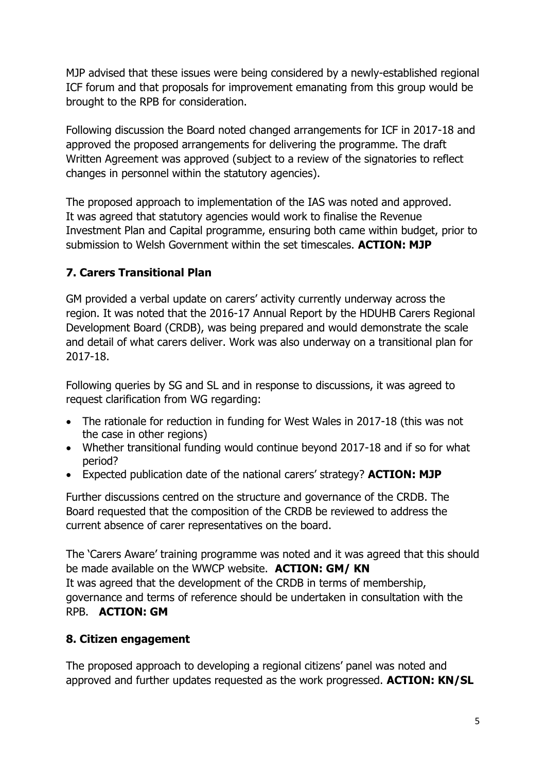MJP advised that these issues were being considered by a newly-established regional ICF forum and that proposals for improvement emanating from this group would be brought to the RPB for consideration.

Following discussion the Board noted changed arrangements for ICF in 2017-18 and approved the proposed arrangements for delivering the programme. The draft Written Agreement was approved (subject to a review of the signatories to reflect changes in personnel within the statutory agencies).

The proposed approach to implementation of the IAS was noted and approved. It was agreed that statutory agencies would work to finalise the Revenue Investment Plan and Capital programme, ensuring both came within budget, prior to submission to Welsh Government within the set timescales. **ACTION: MJP**

# **7. Carers Transitional Plan**

GM provided a verbal update on carers' activity currently underway across the region. It was noted that the 2016-17 Annual Report by the HDUHB Carers Regional Development Board (CRDB), was being prepared and would demonstrate the scale and detail of what carers deliver. Work was also underway on a transitional plan for 2017-18.

Following queries by SG and SL and in response to discussions, it was agreed to request clarification from WG regarding:

- The rationale for reduction in funding for West Wales in 2017-18 (this was not the case in other regions)
- Whether transitional funding would continue beyond 2017-18 and if so for what period?
- Expected publication date of the national carers' strategy? **ACTION: MJP**

Further discussions centred on the structure and governance of the CRDB. The Board requested that the composition of the CRDB be reviewed to address the current absence of carer representatives on the board.

The 'Carers Aware' training programme was noted and it was agreed that this should be made available on the WWCP website. **ACTION: GM/ KN** It was agreed that the development of the CRDB in terms of membership, governance and terms of reference should be undertaken in consultation with the RPB. **ACTION: GM**

# **8. Citizen engagement**

The proposed approach to developing a regional citizens' panel was noted and approved and further updates requested as the work progressed. **ACTION: KN/SL**